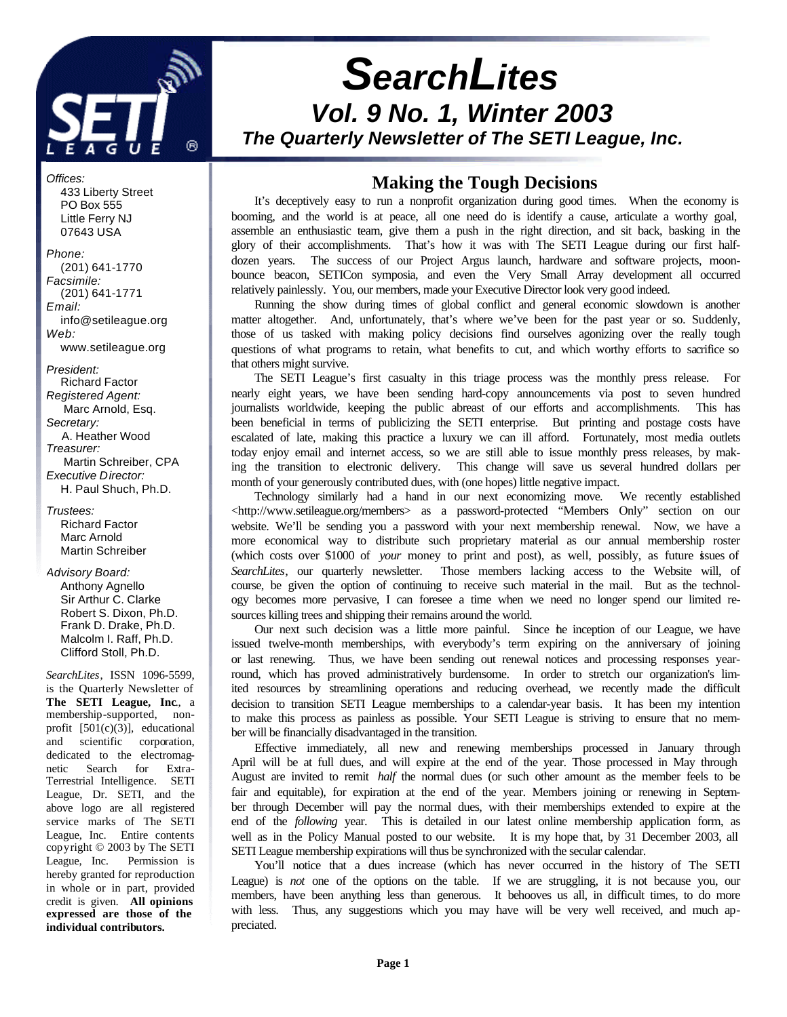

*Offices:* 433 Liberty Street PO Box 555 Little Ferry NJ 07643 USA

*Phone:* (201) 641-1770 *Facsimile:* (201) 641-1771 *Email:* info@setileague.org *Web:* www.setileague.org

*President:* Richard Factor *Registered Agent:*  Marc Arnold, Esq. *Secretary:* A. Heather Wood *Treasurer:*  Martin Schreiber, CPA *Executive Director:* H. Paul Shuch, Ph.D.

*Trustees:* Richard Factor Marc Arnold Martin Schreiber

*Advisory Board:*

 Anthony Agnello Sir Arthur C. Clarke Robert S. Dixon, Ph.D. Frank D. Drake, Ph.D. Malcolm I. Raff, Ph.D. Clifford Stoll, Ph.D.

*SearchLites*, ISSN 1096-5599, is the Quarterly Newsletter of **The SETI League, Inc**., a membership-supported, nonprofit [501(c)(3)], educational and scientific corporation, dedicated to the electromagnetic Search for Extra-Terrestrial Intelligence. SETI League, Dr. SETI, and the above logo are all registered service marks of The SETI League, Inc. Entire contents copyright © 2003 by The SETI League, Inc. Permission is hereby granted for reproduction in whole or in part, provided credit is given. **All opinions expressed are those of the individual contributors.**

# *SearchLites Vol. 9 No. 1, Winter 2003 The Quarterly Newsletter of The SETI League, Inc.*

## **Making the Tough Decisions**

It's deceptively easy to run a nonprofit organization during good times. When the economy is booming, and the world is at peace, all one need do is identify a cause, articulate a worthy goal, assemble an enthusiastic team, give them a push in the right direction, and sit back, basking in the glory of their accomplishments. That's how it was with The SETI League during our first halfdozen years. The success of our Project Argus launch, hardware and software projects, moonbounce beacon, SETICon symposia, and even the Very Small Array development all occurred relatively painlessly. You, our members, made your Executive Director look very good indeed.

Running the show during times of global conflict and general economic slowdown is another matter altogether. And, unfortunately, that's where we've been for the past year or so. Suddenly, those of us tasked with making policy decisions find ourselves agonizing over the really tough questions of what programs to retain, what benefits to cut, and which worthy efforts to sacrifice so that others might survive.

The SETI League's first casualty in this triage process was the monthly press release. For nearly eight years, we have been sending hard-copy announcements via post to seven hundred journalists worldwide, keeping the public abreast of our efforts and accomplishments. This has been beneficial in terms of publicizing the SETI enterprise. But printing and postage costs have escalated of late, making this practice a luxury we can ill afford. Fortunately, most media outlets today enjoy email and internet access, so we are still able to issue monthly press releases, by making the transition to electronic delivery. This change will save us several hundred dollars per month of your generously contributed dues, with (one hopes) little negative impact.

Technology similarly had a hand in our next economizing move. We recently established <http://www.setileague.org/members> as a password-protected "Members Only" section on our website. We'll be sending you a password with your next membership renewal. Now, we have a more economical way to distribute such proprietary material as our annual membership roster (which costs over \$1000 of *your* money to print and post), as well, possibly, as future issues of *SearchLites*, our quarterly newsletter. Those members lacking access to the Website will, of course, be given the option of continuing to receive such material in the mail. But as the technology becomes more pervasive, I can foresee a time when we need no longer spend our limited resources killing trees and shipping their remains around the world.

Our next such decision was a little more painful. Since the inception of our League, we have issued twelve-month memberships, with everybody's term expiring on the anniversary of joining or last renewing. Thus, we have been sending out renewal notices and processing responses yearround, which has proved administratively burdensome. In order to stretch our organization's limited resources by streamlining operations and reducing overhead, we recently made the difficult decision to transition SETI League memberships to a calendar-year basis. It has been my intention to make this process as painless as possible. Your SETI League is striving to ensure that no member will be financially disadvantaged in the transition.

Effective immediately, all new and renewing memberships processed in January through April will be at full dues, and will expire at the end of the year. Those processed in May through August are invited to remit *half* the normal dues (or such other amount as the member feels to be fair and equitable), for expiration at the end of the year. Members joining or renewing in September through December will pay the normal dues, with their memberships extended to expire at the end of the *following* year. This is detailed in our latest online membership application form, as well as in the Policy Manual posted to our website. It is my hope that, by 31 December 2003, all SETI League membership expirations will thus be synchronized with the secular calendar.

You'll notice that a dues increase (which has never occurred in the history of The SETI League) is *not* one of the options on the table. If we are struggling, it is not because you, our members, have been anything less than generous. It behooves us all, in difficult times, to do more with less. Thus, any suggestions which you may have will be very well received, and much appreciated.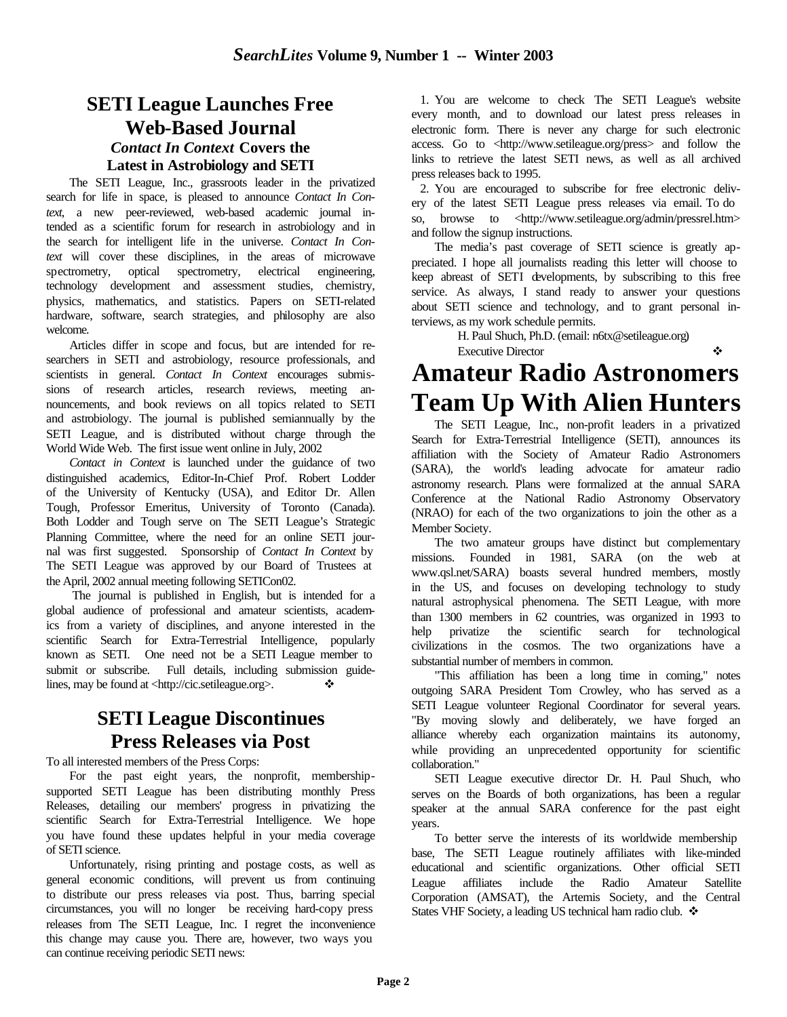# **SETI League Launches Free Web-Based Journal** *Contact In Context* **Covers the Latest in Astrobiology and SETI**

The SETI League, Inc., grassroots leader in the privatized search for life in space, is pleased to announce *Contact In Context*, a new peer-reviewed, web-based academic journal intended as a scientific forum for research in astrobiology and in the search for intelligent life in the universe. *Contact In Context* will cover these disciplines, in the areas of microwave spectrometry, optical spectrometry, electrical engineering, technology development and assessment studies, chemistry, physics, mathematics, and statistics. Papers on SETI-related hardware, software, search strategies, and philosophy are also welcome.

Articles differ in scope and focus, but are intended for researchers in SETI and astrobiology, resource professionals, and scientists in general. *Contact In Context* encourages submissions of research articles, research reviews, meeting announcements, and book reviews on all topics related to SETI and astrobiology. The journal is published semiannually by the SETI League, and is distributed without charge through the World Wide Web. The first issue went online in July, 2002

*Contact in Context* is launched under the guidance of two distinguished academics, Editor-In-Chief Prof. Robert Lodder of the University of Kentucky (USA), and Editor Dr. Allen Tough, Professor Emeritus, University of Toronto (Canada). Both Lodder and Tough serve on The SETI League's Strategic Planning Committee, where the need for an online SETI journal was first suggested. Sponsorship of *Contact In Context* by The SETI League was approved by our Board of Trustees at the April, 2002 annual meeting following SETICon02.

 The journal is published in English, but is intended for a global audience of professional and amateur scientists, academics from a variety of disciplines, and anyone interested in the scientific Search for Extra-Terrestrial Intelligence, popularly known as SETI. One need not be a SETI League member to submit or subscribe. Full details, including submission guidelines, may be found at <http://cic.setileague.org>.  $\diamond$ 

# **SETI League Discontinues Press Releases via Post**

To all interested members of the Press Corps:

For the past eight years, the nonprofit, membershipsupported SETI League has been distributing monthly Press Releases, detailing our members' progress in privatizing the scientific Search for Extra-Terrestrial Intelligence. We hope you have found these updates helpful in your media coverage of SETI science.

Unfortunately, rising printing and postage costs, as well as general economic conditions, will prevent us from continuing to distribute our press releases via post. Thus, barring special circumstances, you will no longer be receiving hard-copy press releases from The SETI League, Inc. I regret the inconvenience this change may cause you. There are, however, two ways you can continue receiving periodic SETI news:

 1. You are welcome to check The SETI League's website every month, and to download our latest press releases in electronic form. There is never any charge for such electronic access. Go to <http://www.setileague.org/press> and follow the links to retrieve the latest SETI news, as well as all archived press releases back to 1995.

 2. You are encouraged to subscribe for free electronic delivery of the latest SETI League press releases via email. To do so, browse to <http://www.setileague.org/admin/pressrel.htm> and follow the signup instructions.

The media's past coverage of SETI science is greatly appreciated. I hope all journalists reading this letter will choose to keep abreast of SETI developments, by subscribing to this free service. As always, I stand ready to answer your questions about SETI science and technology, and to grant personal interviews, as my work schedule permits.

> H. Paul Shuch, Ph.D. (email: n6tx@setileague.org) Executive Director v

# **Amateur Radio Astronomers Team Up With Alien Hunters**

The SETI League, Inc., non-profit leaders in a privatized Search for Extra-Terrestrial Intelligence (SETI), announces its affiliation with the Society of Amateur Radio Astronomers (SARA), the world's leading advocate for amateur radio astronomy research. Plans were formalized at the annual SARA Conference at the National Radio Astronomy Observatory (NRAO) for each of the two organizations to join the other as a Member Society.

The two amateur groups have distinct but complementary missions. Founded in 1981, SARA (on the web at www.qsl.net/SARA) boasts several hundred members, mostly in the US, and focuses on developing technology to study natural astrophysical phenomena. The SETI League, with more than 1300 members in 62 countries, was organized in 1993 to help privatize the scientific search for technological civilizations in the cosmos. The two organizations have a substantial number of members in common.

"This affiliation has been a long time in coming," notes outgoing SARA President Tom Crowley, who has served as a SETI League volunteer Regional Coordinator for several years. "By moving slowly and deliberately, we have forged an alliance whereby each organization maintains its autonomy, while providing an unprecedented opportunity for scientific collaboration."

SETI League executive director Dr. H. Paul Shuch, who serves on the Boards of both organizations, has been a regular speaker at the annual SARA conference for the past eight years.

To better serve the interests of its worldwide membership base, The SETI League routinely affiliates with like-minded educational and scientific organizations. Other official SETI League affiliates include the Radio Amateur Satellite Corporation (AMSAT), the Artemis Society, and the Central States VHF Society, a leading US technical ham radio club.  $\clubsuit$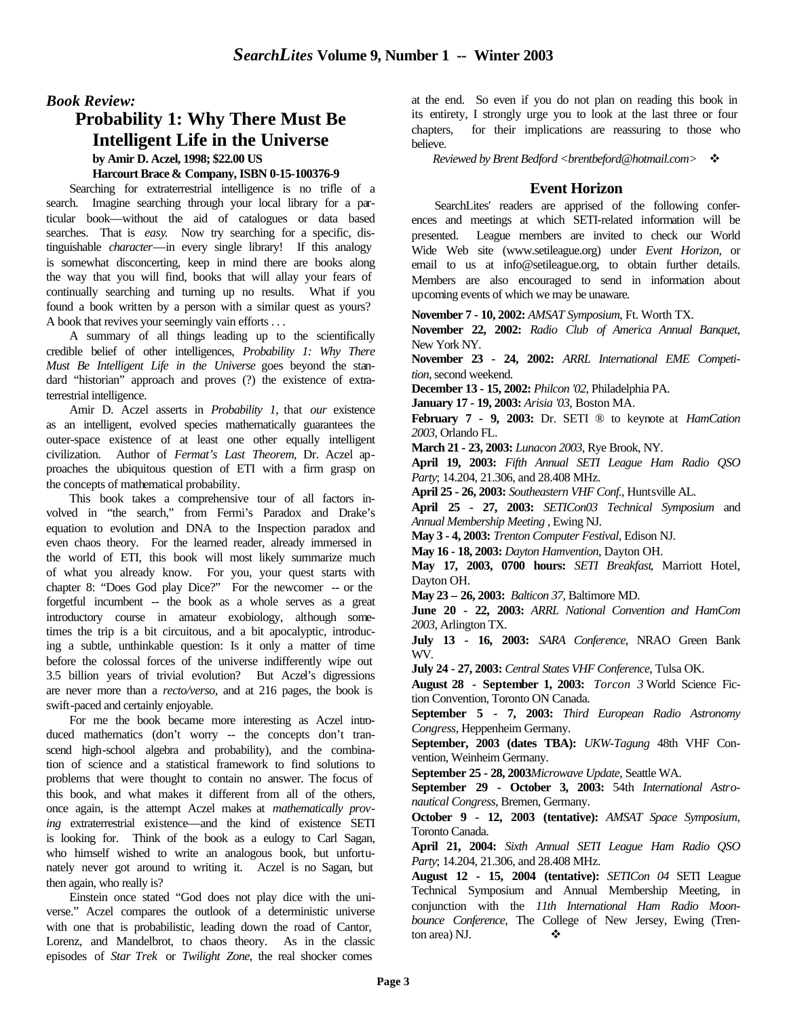#### *Book Review:*

## **Probability 1: Why There Must Be Intelligent Life in the Universe by Amir D. Aczel, 1998; \$22.00 US**

#### **Harcourt Brace & Company, ISBN 0-15-100376-9**

Searching for extraterrestrial intelligence is no trifle of a search. Imagine searching through your local library for a particular book—without the aid of catalogues or data based searches. That is *easy*. Now try searching for a specific, distinguishable *character*—in every single library! If this analogy is somewhat disconcerting, keep in mind there are books along the way that you will find, books that will allay your fears of continually searching and turning up no results. What if you found a book written by a person with a similar quest as yours? A book that revives your seemingly vain efforts . . .

A summary of all things leading up to the scientifically credible belief of other intelligences, *Probability 1: Why There Must Be Intelligent Life in the Universe* goes beyond the standard "historian" approach and proves (?) the existence of extraterrestrial intelligence.

Amir D. Aczel asserts in *Probability 1*, that *our* existence as an intelligent, evolved species mathematically guarantees the outer-space existence of at least one other equally intelligent civilization. Author of *Fermat's Last Theorem*, Dr. Aczel approaches the ubiquitous question of ETI with a firm grasp on the concepts of mathematical probability.

This book takes a comprehensive tour of all factors involved in "the search," from Fermi's Paradox and Drake's equation to evolution and DNA to the Inspection paradox and even chaos theory. For the learned reader, already immersed in the world of ETI, this book will most likely summarize much of what you already know. For you, your quest starts with chapter 8: "Does God play Dice?" For the newcomer -- or the forgetful incumbent -- the book as a whole serves as a great introductory course in amateur exobiology, although sometimes the trip is a bit circuitous, and a bit apocalyptic, introducing a subtle, unthinkable question: Is it only a matter of time before the colossal forces of the universe indifferently wipe out 3.5 billion years of trivial evolution? But Aczel's digressions are never more than a *recto/verso*, and at 216 pages, the book is swift-paced and certainly enjoyable.

For me the book became more interesting as Aczel introduced mathematics (don't worry -- the concepts don't transcend high-school algebra and probability), and the combination of science and a statistical framework to find solutions to problems that were thought to contain no answer. The focus of this book, and what makes it different from all of the others, once again, is the attempt Aczel makes at *mathematically proving* extraterrestrial existence—and the kind of existence SETI is looking for. Think of the book as a eulogy to Carl Sagan, who himself wished to write an analogous book, but unfortunately never got around to writing it. Aczel is no Sagan, but then again, who really is?

Einstein once stated "God does not play dice with the universe." Aczel compares the outlook of a deterministic universe with one that is probabilistic, leading down the road of Cantor, Lorenz, and Mandelbrot, to chaos theory. As in the classic episodes of *Star Trek* or *Twilight Zone*, the real shocker comes

at the end. So even if you do not plan on reading this book in its entirety, I strongly urge you to look at the last three or four chapters, for their implications are reassuring to those who believe.

*Reviewed by Brent Bedford <brentbeford@hotmail.com>*  $\div$ 

#### **Event Horizon**

SearchLites' readers are apprised of the following conferences and meetings at which SETI-related information will be presented. League members are invited to check our World Wide Web site (www.setileague.org) under *Event Horizon*, or email to us at info@setileague.org, to obtain further details. Members are also encouraged to send in information about upcoming events of which we may be unaware.

**November 7 - 10, 2002:** *AMSAT Symposium*, Ft. Worth TX.

**November 22, 2002:** *Radio Club of America Annual Banquet*, New York NY.

**November 23 - 24, 2002:** *ARRL International EME Competition*, second weekend.

**December 13 - 15, 2002:** *Philcon '02*, Philadelphia PA.

**January 17 - 19, 2003:** *Arisia '03*, Boston MA.

**February 7 - 9, 2003:** Dr. SETI ® to keynote at *HamCation 2003*, Orlando FL.

**March 21 - 23, 2003:** *Lunacon 2003*, Rye Brook, NY.

**April 19, 2003:** *Fifth Annual SETI League Ham Radio QSO Party*; 14.204, 21.306, and 28.408 MHz.

**April 25 - 26, 2003:** *Southeastern VHF Conf.*, Huntsville AL.

**April 25 - 27, 2003:** *SETICon03 Technical Symposium* and *Annual Membership Meeting* , Ewing NJ.

**May 3 - 4, 2003:** *Trenton Computer Festival*, Edison NJ.

**May 16 - 18, 2003:** *Dayton Hamvention*, Dayton OH.

**May 17, 2003, 0700 hours:** *SETI Breakfast*, Marriott Hotel, Dayton OH.

**May 23 – 26, 2003:** *Balticon 37*, Baltimore MD.

**June 20 - 22, 2003:** *ARRL National Convention and HamCom 2003*, Arlington TX.

**July 13 - 16, 2003:** *SARA Conference*, NRAO Green Bank WV.

**July 24 - 27, 2003:** *Central States VHF Conference*, Tulsa OK.

**August 28 - September 1, 2003:** *Torcon 3* World Science Fiction Convention, Toronto ON Canada.

**September 5 - 7, 2003:** *Third European Radio Astronomy Congress*, Heppenheim Germany.

**September, 2003 (dates TBA):** *UKW-Tagung* 48th VHF Convention, Weinheim Germany.

**September 25 - 28, 2003***Microwave Update*, Seattle WA.

**September 29 - October 3, 2003:** 54th *International Astronautical Congress*, Bremen, Germany.

**October 9 - 12, 2003 (tentative):** *AMSAT Space Symposium*, Toronto Canada.

**April 21, 2004:** *Sixth Annual SETI League Ham Radio QSO Party*; 14.204, 21.306, and 28.408 MHz.

**August 12 - 15, 2004 (tentative):** *SETICon 04* SETI League Technical Symposium and Annual Membership Meeting, in conjunction with the *11th International Ham Radio Moonbounce Conference*, The College of New Jersey, Ewing (Trenton area) NJ.  $\blacklozenge$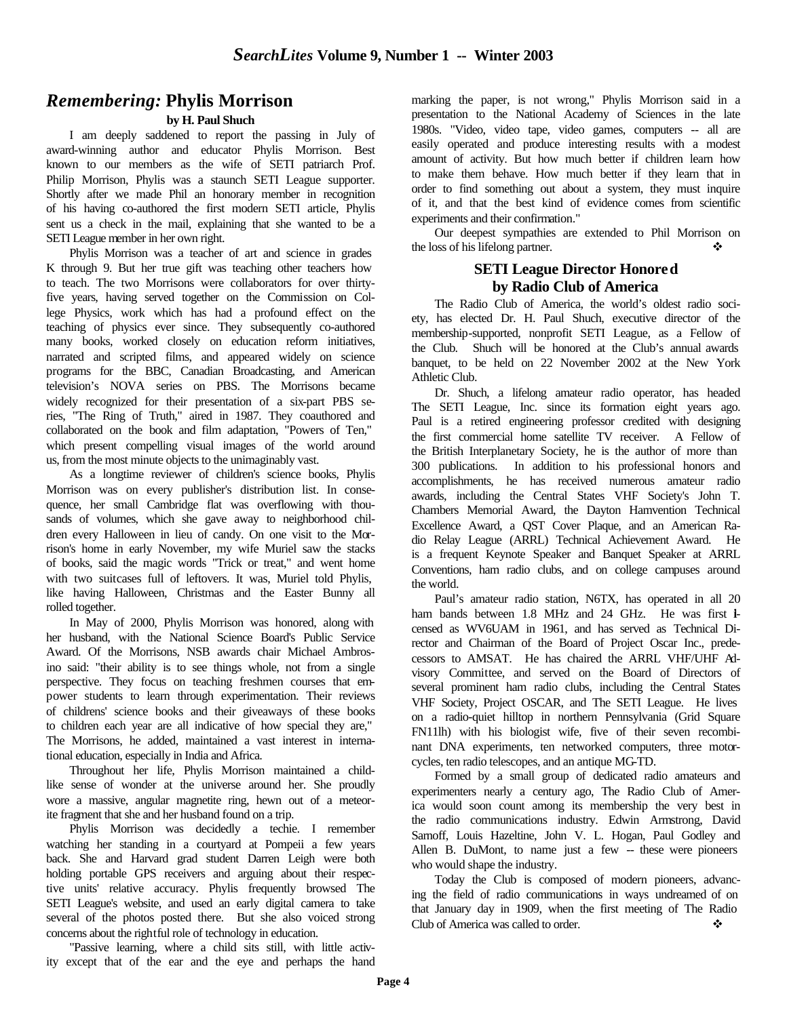## *Remembering:* **Phylis Morrison**

#### **by H. Paul Shuch**

I am deeply saddened to report the passing in July of award-winning author and educator Phylis Morrison. Best known to our members as the wife of SETI patriarch Prof. Philip Morrison, Phylis was a staunch SETI League supporter. Shortly after we made Phil an honorary member in recognition of his having co-authored the first modern SETI article, Phylis sent us a check in the mail, explaining that she wanted to be a SETI League member in her own right.

Phylis Morrison was a teacher of art and science in grades K through 9. But her true gift was teaching other teachers how to teach. The two Morrisons were collaborators for over thirtyfive years, having served together on the Commission on College Physics, work which has had a profound effect on the teaching of physics ever since. They subsequently co-authored many books, worked closely on education reform initiatives, narrated and scripted films, and appeared widely on science programs for the BBC, Canadian Broadcasting, and American television's NOVA series on PBS. The Morrisons became widely recognized for their presentation of a six-part PBS series, "The Ring of Truth," aired in 1987. They coauthored and collaborated on the book and film adaptation, "Powers of Ten," which present compelling visual images of the world around us, from the most minute objects to the unimaginably vast.

As a longtime reviewer of children's science books, Phylis Morrison was on every publisher's distribution list. In consequence, her small Cambridge flat was overflowing with thousands of volumes, which she gave away to neighborhood children every Halloween in lieu of candy. On one visit to the Morrison's home in early November, my wife Muriel saw the stacks of books, said the magic words "Trick or treat," and went home with two suitcases full of leftovers. It was, Muriel told Phylis, like having Halloween, Christmas and the Easter Bunny all rolled together.

In May of 2000, Phylis Morrison was honored, along with her husband, with the National Science Board's Public Service Award. Of the Morrisons, NSB awards chair Michael Ambrosino said: "their ability is to see things whole, not from a single perspective. They focus on teaching freshmen courses that empower students to learn through experimentation. Their reviews of childrens' science books and their giveaways of these books to children each year are all indicative of how special they are," The Morrisons, he added, maintained a vast interest in international education, especially in India and Africa.

Throughout her life, Phylis Morrison maintained a childlike sense of wonder at the universe around her. She proudly wore a massive, angular magnetite ring, hewn out of a meteorite fragment that she and her husband found on a trip.

Phylis Morrison was decidedly a techie. I remember watching her standing in a courtyard at Pompeii a few years back. She and Harvard grad student Darren Leigh were both holding portable GPS receivers and arguing about their respective units' relative accuracy. Phylis frequently browsed The SETI League's website, and used an early digital camera to take several of the photos posted there. But she also voiced strong concerns about the rightful role of technology in education.

"Passive learning, where a child sits still, with little activity except that of the ear and the eye and perhaps the hand marking the paper, is not wrong," Phylis Morrison said in a presentation to the National Academy of Sciences in the late 1980s. "Video, video tape, video games, computers -- all are easily operated and produce interesting results with a modest amount of activity. But how much better if children learn how to make them behave. How much better if they learn that in order to find something out about a system, they must inquire of it, and that the best kind of evidence comes from scientific experiments and their confirmation."

Our deepest sympathies are extended to Phil Morrison on the loss of his lifelong partner.  $\mathbf{\hat{P}}$ 

#### **SETI League Director Honored by Radio Club of America**

The Radio Club of America, the world's oldest radio society, has elected Dr. H. Paul Shuch, executive director of the membership-supported, nonprofit SETI League, as a Fellow of the Club. Shuch will be honored at the Club's annual awards banquet, to be held on 22 November 2002 at the New York Athletic Club.

Dr. Shuch, a lifelong amateur radio operator, has headed The SETI League, Inc. since its formation eight years ago. Paul is a retired engineering professor credited with designing the first commercial home satellite TV receiver. A Fellow of the British Interplanetary Society, he is the author of more than 300 publications. In addition to his professional honors and accomplishments, he has received numerous amateur radio awards, including the Central States VHF Society's John T. Chambers Memorial Award, the Dayton Hamvention Technical Excellence Award, a QST Cover Plaque, and an American Radio Relay League (ARRL) Technical Achievement Award. He is a frequent Keynote Speaker and Banquet Speaker at ARRL Conventions, ham radio clubs, and on college campuses around the world.

Paul's amateur radio station, N6TX, has operated in all 20 ham bands between 1.8 MHz and 24 GHz. He was first icensed as WV6UAM in 1961, and has served as Technical Director and Chairman of the Board of Project Oscar Inc., predecessors to AMSAT. He has chaired the ARRL VHF/UHF Advisory Committee, and served on the Board of Directors of several prominent ham radio clubs, including the Central States VHF Society, Project OSCAR, and The SETI League. He lives on a radio-quiet hilltop in northern Pennsylvania (Grid Square FN11lh) with his biologist wife, five of their seven recombinant DNA experiments, ten networked computers, three motorcycles, ten radio telescopes, and an antique MG-TD.

Formed by a small group of dedicated radio amateurs and experimenters nearly a century ago, The Radio Club of America would soon count among its membership the very best in the radio communications industry. Edwin Armstrong, David Sarnoff, Louis Hazeltine, John V. L. Hogan, Paul Godley and Allen B. DuMont, to name just a few -- these were pioneers who would shape the industry.

Today the Club is composed of modern pioneers, advancing the field of radio communications in ways undreamed of on that January day in 1909, when the first meeting of The Radio Club of America was called to order.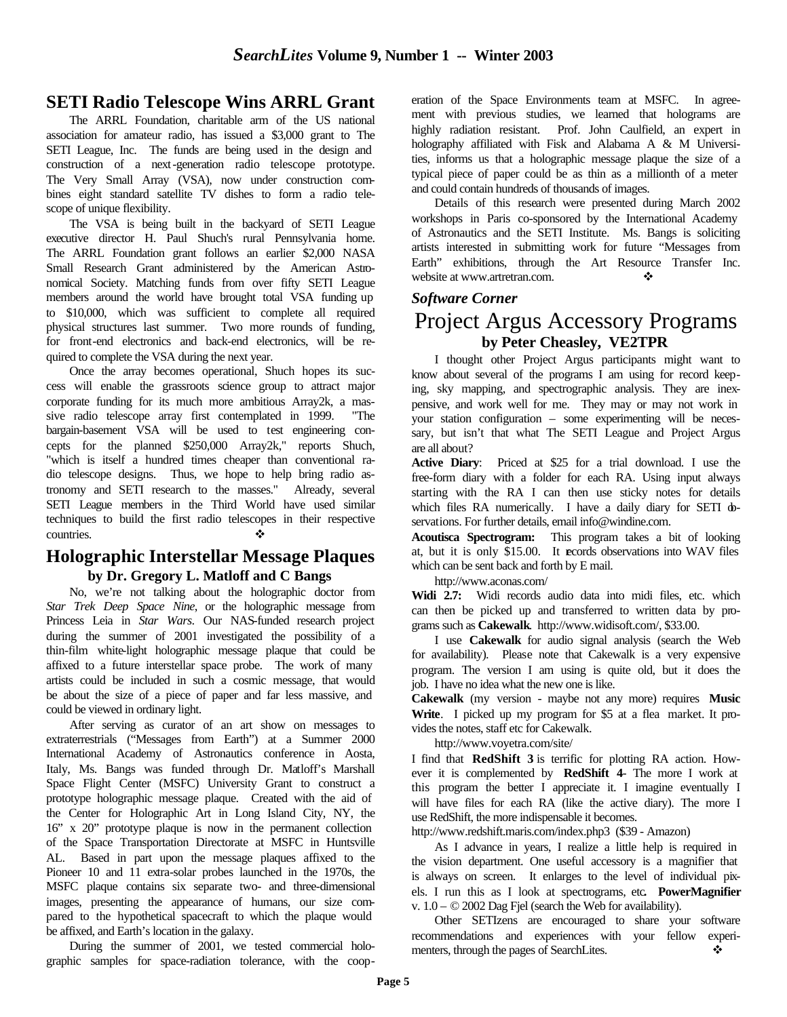## **SETI Radio Telescope Wins ARRL Grant**

The ARRL Foundation, charitable arm of the US national association for amateur radio, has issued a \$3,000 grant to The SETI League, Inc. The funds are being used in the design and construction of a next-generation radio telescope prototype. The Very Small Array (VSA), now under construction combines eight standard satellite TV dishes to form a radio telescope of unique flexibility.

The VSA is being built in the backyard of SETI League executive director H. Paul Shuch's rural Pennsylvania home. The ARRL Foundation grant follows an earlier \$2,000 NASA Small Research Grant administered by the American Astronomical Society. Matching funds from over fifty SETI League members around the world have brought total VSA funding up to \$10,000, which was sufficient to complete all required physical structures last summer. Two more rounds of funding, for front-end electronics and back-end electronics, will be required to complete the VSA during the next year.

Once the array becomes operational, Shuch hopes its success will enable the grassroots science group to attract major corporate funding for its much more ambitious Array2k, a massive radio telescope array first contemplated in 1999. "The bargain-basement VSA will be used to test engineering concepts for the planned \$250,000 Array2k," reports Shuch, "which is itself a hundred times cheaper than conventional radio telescope designs. Thus, we hope to help bring radio astronomy and SETI research to the masses." Already, several SETI League members in the Third World have used similar techniques to build the first radio telescopes in their respective countries.

## **Holographic Interstellar Message Plaques by Dr. Gregory L. Matloff and C Bangs**

No, we're not talking about the holographic doctor from *Star Trek Deep Space Nine*, or the holographic message from Princess Leia in *Star Wars*. Our NAS-funded research project during the summer of 2001 investigated the possibility of a thin-film white-light holographic message plaque that could be affixed to a future interstellar space probe. The work of many artists could be included in such a cosmic message, that would be about the size of a piece of paper and far less massive, and could be viewed in ordinary light.

After serving as curator of an art show on messages to extraterrestrials ("Messages from Earth") at a Summer 2000 International Academy of Astronautics conference in Aosta, Italy, Ms. Bangs was funded through Dr. Matloff's Marshall Space Flight Center (MSFC) University Grant to construct a prototype holographic message plaque. Created with the aid of the Center for Holographic Art in Long Island City, NY, the 16" x 20" prototype plaque is now in the permanent collection of the Space Transportation Directorate at MSFC in Huntsville AL. Based in part upon the message plaques affixed to the Pioneer 10 and 11 extra-solar probes launched in the 1970s, the MSFC plaque contains six separate two- and three-dimensional images, presenting the appearance of humans, our size compared to the hypothetical spacecraft to which the plaque would be affixed, and Earth's location in the galaxy.

During the summer of 2001, we tested commercial holographic samples for space-radiation tolerance, with the cooperation of the Space Environments team at MSFC. In agreement with previous studies, we learned that holograms are highly radiation resistant. Prof. John Caulfield, an expert in holography affiliated with Fisk and Alabama A & M Universities, informs us that a holographic message plaque the size of a typical piece of paper could be as thin as a millionth of a meter and could contain hundreds of thousands of images.

Details of this research were presented during March 2002 workshops in Paris co-sponsored by the International Academy of Astronautics and the SETI Institute. Ms. Bangs is soliciting artists interested in submitting work for future "Messages from Earth" exhibitions, through the Art Resource Transfer Inc. website at www.artretran.com.

#### *Software Corner*

# Project Argus Accessory Programs **by Peter Cheasley, VE2TPR**

I thought other Project Argus participants might want to know about several of the programs I am using for record keeping, sky mapping, and spectrographic analysis. They are inexpensive, and work well for me. They may or may not work in your station configuration – some experimenting will be necessary, but isn't that what The SETI League and Project Argus are all about?

**Active Diary**: Priced at \$25 for a trial download. I use the free-form diary with a folder for each RA. Using input always starting with the RA I can then use sticky notes for details which files RA numerically. I have a daily diary for SETI doservations. For further details, email info@windine.com.

**Acoutisca Spectrogram:** This program takes a bit of looking at, but it is only \$15.00. It records observations into WAV files which can be sent back and forth by E mail.

http://www.aconas.com/

**Widi 2.7:** Widi records audio data into midi files, etc. which can then be picked up and transferred to written data by programs such as **Cakewalk**. http://www.widisoft.com/, \$33.00.

I use **Cakewalk** for audio signal analysis (search the Web for availability). Please note that Cakewalk is a very expensive program. The version I am using is quite old, but it does the job. I have no idea what the new one is like.

**Cakewalk** (my version - maybe not any more) requires **Music Write**. I picked up my program for \$5 at a flea market. It provides the notes, staff etc for Cakewalk.

http://www.voyetra.com/site/

I find that **RedShift 3** is terrific for plotting RA action. However it is complemented by **RedShift 4**- The more I work at this program the better I appreciate it. I imagine eventually I will have files for each RA (like the active diary). The more I use RedShift, the more indispensable it becomes.

http://www.redshift.maris.com/index.php3 (\$39 - Amazon)

As I advance in years, I realize a little help is required in the vision department. One useful accessory is a magnifier that is always on screen. It enlarges to the level of individual pixels. I run this as I look at spectrograms, etc**. PowerMagnifier** v.  $1.0 - \textcircled{2002}$  Dag Fjel (search the Web for availability).

Other SETIzens are encouraged to share your software recommendations and experiences with your fellow experimenters, through the pages of SearchLites. ❖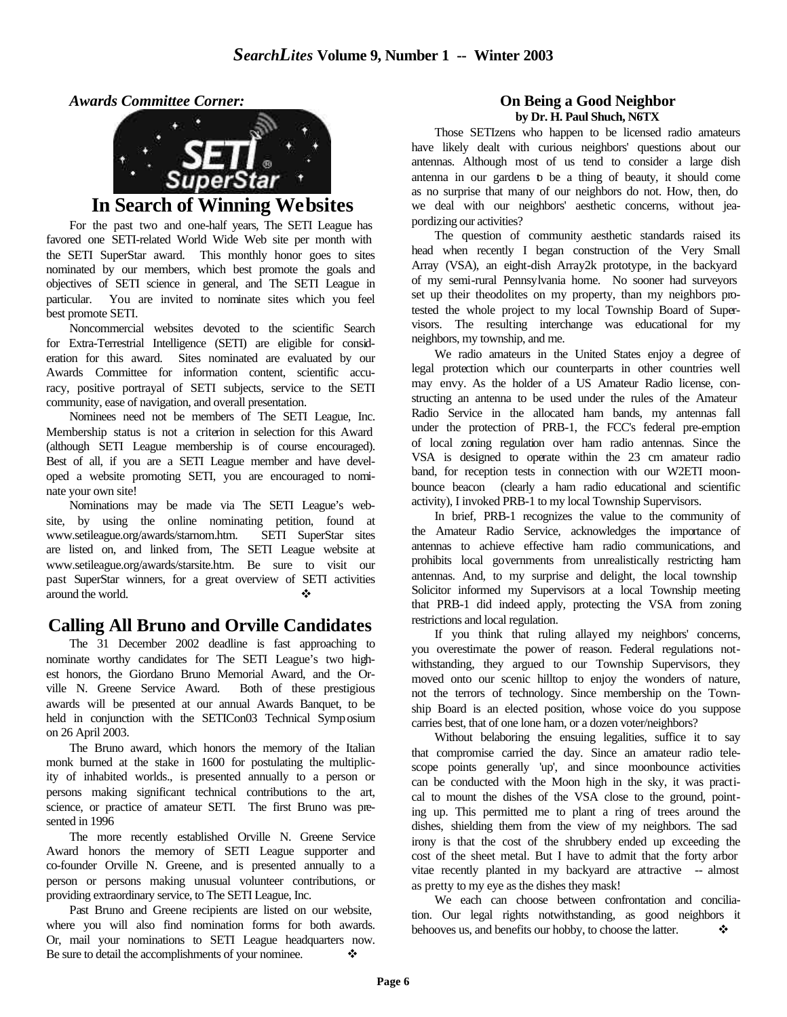*Awards Committee Corner:*



## **In Search of Winning Websites**

For the past two and one-half years, The SETI League has favored one SETI-related World Wide Web site per month with the SETI SuperStar award. This monthly honor goes to sites nominated by our members, which best promote the goals and objectives of SETI science in general, and The SETI League in particular. You are invited to nominate sites which you feel best promote SETI.

Noncommercial websites devoted to the scientific Search for Extra-Terrestrial Intelligence (SETI) are eligible for consideration for this award. Sites nominated are evaluated by our Awards Committee for information content, scientific accuracy, positive portrayal of SETI subjects, service to the SETI community, ease of navigation, and overall presentation.

Nominees need not be members of The SETI League, Inc. Membership status is not a criterion in selection for this Award (although SETI League membership is of course encouraged). Best of all, if you are a SETI League member and have developed a website promoting SETI, you are encouraged to nominate your own site!

Nominations may be made via The SETI League's website, by using the online nominating petition, found at www.setileague.org/awards/starnom.htm. SETI SuperStar sites are listed on, and linked from, The SETI League website at www.setileague.org/awards/starsite.htm. Be sure to visit our past SuperStar winners, for a great overview of SETI activities around the world.

## **Calling All Bruno and Orville Candidates**

The 31 December 2002 deadline is fast approaching to nominate worthy candidates for The SETI League's two highest honors, the Giordano Bruno Memorial Award, and the Orville N. Greene Service Award. Both of these prestigious awards will be presented at our annual Awards Banquet, to be held in conjunction with the SETICon03 Technical Symposium on 26 April 2003.

The Bruno award, which honors the memory of the Italian monk burned at the stake in 1600 for postulating the multiplicity of inhabited worlds., is presented annually to a person or persons making significant technical contributions to the art, science, or practice of amateur SETI. The first Bruno was presented in 1996

The more recently established Orville N. Greene Service Award honors the memory of SETI League supporter and co-founder Orville N. Greene, and is presented annually to a person or persons making unusual volunteer contributions, or providing extraordinary service, to The SETI League, Inc.

Past Bruno and Greene recipients are listed on our website, where you will also find nomination forms for both awards. Or, mail your nominations to SETI League headquarters now. Be sure to detail the accomplishments of your nominee.  $\bullet$ 

#### **On Being a Good Neighbor by Dr. H. Paul Shuch, N6TX**

Those SETIzens who happen to be licensed radio amateurs have likely dealt with curious neighbors' questions about our antennas. Although most of us tend to consider a large dish antenna in our gardens to be a thing of beauty, it should come as no surprise that many of our neighbors do not. How, then, do we deal with our neighbors' aesthetic concerns, without jeapordizing our activities?

The question of community aesthetic standards raised its head when recently I began construction of the Very Small Array (VSA), an eight-dish Array2k prototype, in the backyard of my semi-rural Pennsylvania home. No sooner had surveyors set up their theodolites on my property, than my neighbors protested the whole project to my local Township Board of Supervisors. The resulting interchange was educational for my neighbors, my township, and me.

We radio amateurs in the United States enjoy a degree of legal protection which our counterparts in other countries well may envy. As the holder of a US Amateur Radio license, constructing an antenna to be used under the rules of the Amateur Radio Service in the allocated ham bands, my antennas fall under the protection of PRB-1, the FCC's federal pre-emption of local zoning regulation over ham radio antennas. Since the VSA is designed to operate within the 23 cm amateur radio band, for reception tests in connection with our W2ETI moonbounce beacon (clearly a ham radio educational and scientific activity), I invoked PRB-1 to my local Township Supervisors.

In brief, PRB-1 recognizes the value to the community of the Amateur Radio Service, acknowledges the importance of antennas to achieve effective ham radio communications, and prohibits local governments from unrealistically restricting ham antennas. And, to my surprise and delight, the local township Solicitor informed my Supervisors at a local Township meeting that PRB-1 did indeed apply, protecting the VSA from zoning restrictions and local regulation.

If you think that ruling allayed my neighbors' concerns, you overestimate the power of reason. Federal regulations notwithstanding, they argued to our Township Supervisors, they moved onto our scenic hilltop to enjoy the wonders of nature, not the terrors of technology. Since membership on the Township Board is an elected position, whose voice do you suppose carries best, that of one lone ham, or a dozen voter/neighbors?

Without belaboring the ensuing legalities, suffice it to say that compromise carried the day. Since an amateur radio telescope points generally 'up', and since moonbounce activities can be conducted with the Moon high in the sky, it was practical to mount the dishes of the VSA close to the ground, pointing up. This permitted me to plant a ring of trees around the dishes, shielding them from the view of my neighbors. The sad irony is that the cost of the shrubbery ended up exceeding the cost of the sheet metal. But I have to admit that the forty arbor vitae recently planted in my backyard are attractive -- almost as pretty to my eye as the dishes they mask!

We each can choose between confrontation and conciliation. Our legal rights notwithstanding, as good neighbors it behooves us, and benefits our hobby, to choose the latter.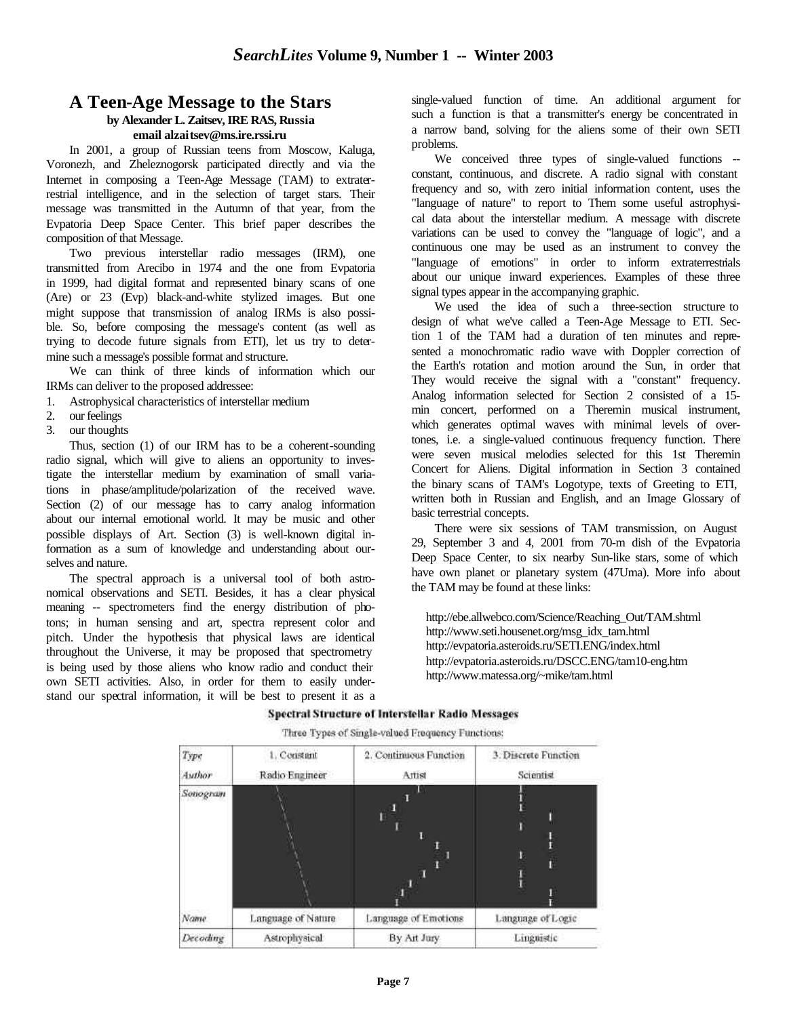## **A Teen-Age Message to the Stars**

# **by Alexander L. Zaitsev, IRE RAS, Russia**

## **email alzaitsev@ms.ire.rssi.ru**

In 2001, a group of Russian teens from Moscow, Kaluga, Voronezh, and Zheleznogorsk participated directly and via the Internet in composing a Teen-Age Message (TAM) to extraterrestrial intelligence, and in the selection of target stars. Their message was transmitted in the Autumn of that year, from the Evpatoria Deep Space Center. This brief paper describes the composition of that Message.

Two previous interstellar radio messages (IRM), one transmitted from Arecibo in 1974 and the one from Evpatoria in 1999, had digital format and represented binary scans of one (Are) or 23 (Evp) black-and-white stylized images. But one might suppose that transmission of analog IRMs is also possible. So, before composing the message's content (as well as trying to decode future signals from ETI), let us try to determine such a message's possible format and structure.

We can think of three kinds of information which our IRMs can deliver to the proposed addressee:

- 1. Astrophysical characteristics of interstellar medium
- 2. our feelings
- 3. our thoughts

Thus, section (1) of our IRM has to be a coherent-sounding radio signal, which will give to aliens an opportunity to investigate the interstellar medium by examination of small variations in phase/amplitude/polarization of the received wave. Section (2) of our message has to carry analog information about our internal emotional world. It may be music and other possible displays of Art. Section (3) is well-known digital information as a sum of knowledge and understanding about ourselves and nature.

The spectral approach is a universal tool of both astronomical observations and SETI. Besides, it has a clear physical meaning -- spectrometers find the energy distribution of photons; in human sensing and art, spectra represent color and pitch. Under the hypothesis that physical laws are identical throughout the Universe, it may be proposed that spectrometry is being used by those aliens who know radio and conduct their own SETI activities. Also, in order for them to easily understand our spectral information, it will be best to present it as a single-valued function of time. An additional argument for such a function is that a transmitter's energy be concentrated in a narrow band, solving for the aliens some of their own SETI problems.

We conceived three types of single-valued functions -constant, continuous, and discrete. A radio signal with constant frequency and so, with zero initial information content, uses the "language of nature" to report to Them some useful astrophysical data about the interstellar medium. A message with discrete variations can be used to convey the "language of logic", and a continuous one may be used as an instrument to convey the "language of emotions" in order to inform extraterrestrials about our unique inward experiences. Examples of these three signal types appear in the accompanying graphic.

We used the idea of such a three-section structure to design of what we've called a Teen-Age Message to ETI. Section 1 of the TAM had a duration of ten minutes and represented a monochromatic radio wave with Doppler correction of the Earth's rotation and motion around the Sun, in order that They would receive the signal with a "constant" frequency. Analog information selected for Section 2 consisted of a 15 min concert, performed on a Theremin musical instrument, which generates optimal waves with minimal levels of overtones, i.e. a single-valued continuous frequency function. There were seven musical melodies selected for this 1st Theremin Concert for Aliens. Digital information in Section 3 contained the binary scans of TAM's Logotype, texts of Greeting to ETI, written both in Russian and English, and an Image Glossary of basic terrestrial concepts.

There were six sessions of TAM transmission, on August 29, September 3 and 4, 2001 from 70-m dish of the Evpatoria Deep Space Center, to six nearby Sun-like stars, some of which have own planet or planetary system (47Uma). More info about the TAM may be found at these links:

 http://ebe.allwebco.com/Science/Reaching\_Out/TAM.shtml http://www.seti.housenet.org/msg\_idx\_tam.html http://evpatoria.asteroids.ru/SETI.ENG/index.html http://evpatoria.asteroids.ru/DSCC.ENG/tam10-eng.htm http://www.matessa.org/~mike/tam.html

| Type<br>Author | 1. Constant<br>Radio Engineer | 2. Continuous Function<br>Attist | 3. Discrete Function<br>Scientist |
|----------------|-------------------------------|----------------------------------|-----------------------------------|
| Sonogram       |                               |                                  |                                   |
| Name.          | Language of Nature            | Language of Emotions             | Language of Logic                 |
| Decoding       | Astrophysical                 | By Art Jury                      | Linguistic                        |

#### **Spectral Structure of Interstellar Radio Messages** Three Types of Single-valued Frequency Functions: